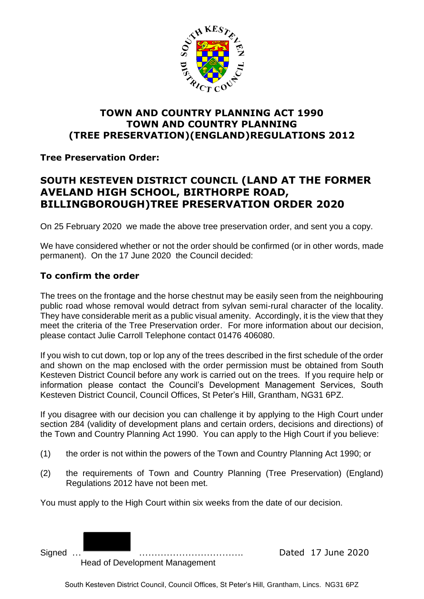

## **TOWN AND COUNTRY PLANNING ACT 1990 TOWN AND COUNTRY PLANNING (TREE PRESERVATION)(ENGLAND)REGULATIONS 2012**

**Tree Preservation Order:**

## **SOUTH KESTEVEN DISTRICT COUNCIL (LAND AT THE FORMER AVELAND HIGH SCHOOL, BIRTHORPE ROAD, BILLINGBOROUGH)TREE PRESERVATION ORDER 2020**

On 25 February 2020 we made the above tree preservation order, and sent you a copy.

We have considered whether or not the order should be confirmed (or in other words, made permanent). On the 17 June 2020 the Council decided:

## **To confirm the order**

The trees on the frontage and the horse chestnut may be easily seen from the neighbouring public road whose removal would detract from sylvan semi-rural character of the locality. They have considerable merit as a public visual amenity. Accordingly, it is the view that they meet the criteria of the Tree Preservation order. For more information about our decision, please contact Julie Carroll Telephone contact 01476 406080.

If you wish to cut down, top or lop any of the trees described in the first schedule of the order and shown on the map enclosed with the order permission must be obtained from South Kesteven District Council before any work is carried out on the trees. If you require help or information please contact the Council's Development Management Services, South Kesteven District Council, Council Offices, St Peter's Hill, Grantham, NG31 6PZ.

If you disagree with our decision you can challenge it by applying to the High Court under section 284 (validity of development plans and certain orders, decisions and directions) of the Town and Country Planning Act 1990. You can apply to the High Court if you believe:

- (1) the order is not within the powers of the Town and Country Planning Act 1990; or
- (2) the requirements of Town and Country Planning (Tree Preservation) (England) Regulations 2012 have not been met.

You must apply to the High Court within six weeks from the date of our decision.

Signed … ……………………………. Dated 17 June 2020 Head of Development Management

South Kesteven District Council, Council Offices, St Peter's Hill, Grantham, Lincs. NG31 6PZ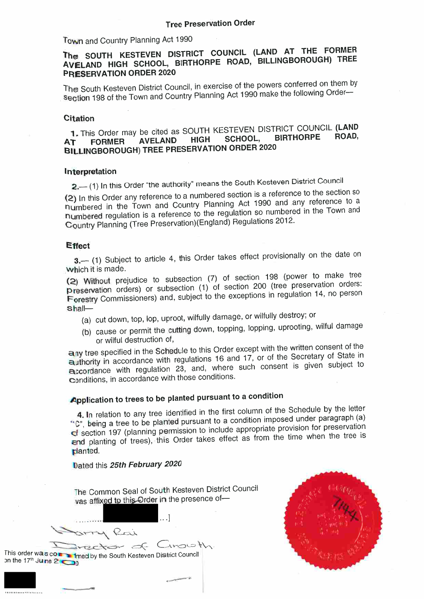### **Tree Preservation Order**

Town and Country Planning Act 1990

## The SOUTH KESTEVEN DISTRICT COUNCIL (LAND AT THE FORMER AVELAND HIGH SCHOOL, BIRTHORPE ROAD, BILLINGBOROUGH) TREE **PRESERVATION ORDER 2020**

The South Kesteven District Council, in exercise of the powers conferred on them by Section 198 of the Town and Country Planning Act 1990 make the following Order-

#### Citation

1. This Order may be cited as SOUTH KESTEVEN DISTRICT COUNCIL (LAND **BIRTHORPE** ROAD. SCHOOL, **AVELAND HIGH AT FORMER BILLINGBOROUGH) TREE PRESERVATION ORDER 2020** 

#### Interpretation

2. - (1) In this Order "the authority" means the South Kesteven District Council

(2) In this Order any reference to a numbered section is a reference to the section so numbered in the Town and Country Planning Act 1990 and any reference to a numbered regulation is a reference to the regulation so numbered in the Town and Country Planning (Tree Preservation) (England) Regulations 2012.

#### Effect

3.- (1) Subject to article 4, this Order takes effect provisionally on the date on Which it is made.

(2) Without prejudice to subsection (7) of section 198 (power to make tree Preservation orders) or subsection (1) of section 200 (tree preservation orders: Forestry Commissioners) and, subject to the exceptions in regulation 14, no person  $shal$ -

- (a) cut down, top, lop, uproot, wilfully damage, or wilfully destroy; or
- (b) cause or permit the cutting down, topping, lopping, uprooting, wilful damage or wilful destruction of,

any tree specified in the Schedule to this Order except with the written consent of the authority in accordance with regulations 16 and 17, or of the Secretary of State in accordance with regulation 23, and, where such consent is given subject to conditions, in accordance with those conditions.

# Application to trees to be planted pursuant to a condition

4. In relation to any tree identified in the first column of the Schedule by the letter "C", being a tree to be planted pursuant to a condition imposed under paragraph (a) of section 197 (planning permission to include appropriate provision for preservation and planting of trees), this Order takes effect as from the time when the tree is rlanted.

Dated this 25th February 2020

The Common Seal of South Kesteven District Council vas affixed to this Order in the presence of-

 $\overline{a}$ 

 $\left[\ldots\right]$ . . . . *.* . . . . . orry Rai Prector of Cirouth This order was come freed by the South Kesteven District Council on the 17<sup>th</sup> June 2  $\bigodot$ 

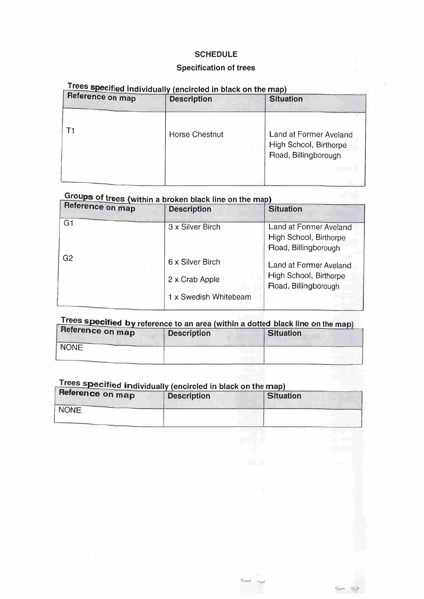### **SCHEDULE**

### **Specification of trees**

| Reference on map | <b>Description</b>    | <b>Situation</b>                                                         |
|------------------|-----------------------|--------------------------------------------------------------------------|
|                  | <b>Horse Chestnut</b> | Land at Former Aveland<br>High School, Birthorpe<br>Road, Billingborough |

# Groups of trees (within a broken black line on the map)

| ∄Reference on map | <b>Description</b>    | <b>Situation</b>                                                         |
|-------------------|-----------------------|--------------------------------------------------------------------------|
| G <sub>1</sub>    | 3 x Silver Birch      | Land at Former Aveland<br>High School, Birthorpe<br>Road, Billingborough |
| G <sub>2</sub>    | 6 x Silver Birch      | Land at Former Aveland                                                   |
|                   | 2 x Crab Apple        | High School, Birthorpe<br>Road, Billingborough                           |
|                   | 1 x Swedish Whitebeam |                                                                          |

|                  |                    | Trees specified by reference to an area (within a dotted black line on the map) |
|------------------|--------------------|---------------------------------------------------------------------------------|
| Reference on map | <b>Description</b> | <b>Situation</b>                                                                |
| <b>NONE</b>      |                    |                                                                                 |
|                  |                    |                                                                                 |

# Trees specified individually (encircled in black on the map)

| Reference on map | <b>Description</b> | <b>Situation</b> |
|------------------|--------------------|------------------|
| <b>NONE</b>      |                    |                  |
|                  |                    |                  |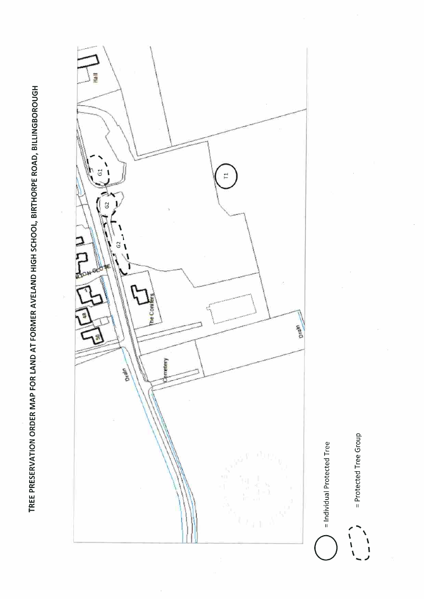



= Individual Protected Tree

= Protected Tree Group

 $\frac{1}{1}$ 

 $\frac{1}{1}$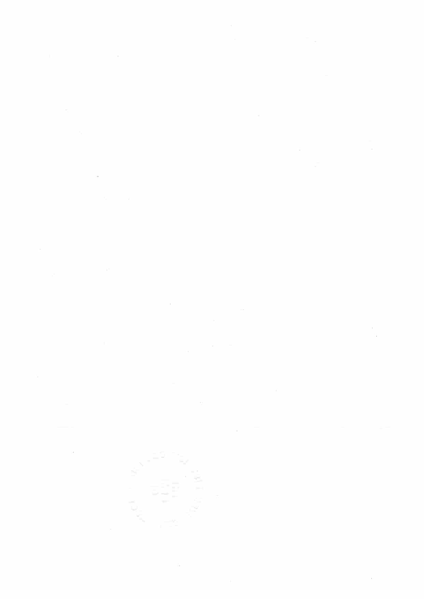$\mathcal{A}^{\text{max}}$  . The set of  $\mathcal{A}^{\text{max}}$  $\frac{1}{2}$  $\sim 50$